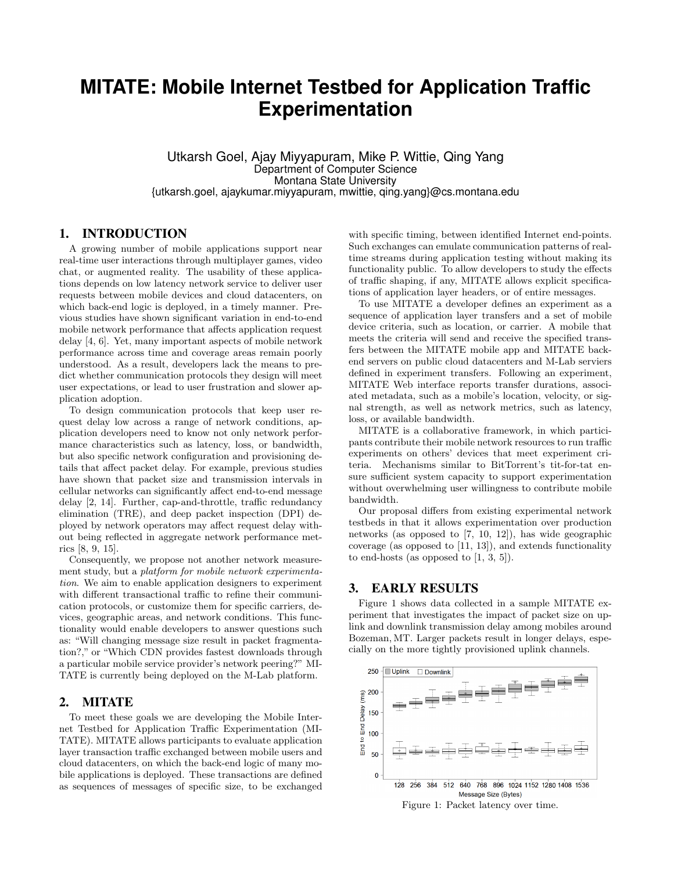# **MITATE: Mobile Internet Testbed for Application Traffic Experimentation**

Utkarsh Goel, Ajay Miyyapuram, Mike P. Wittie, Qing Yang Department of Computer Science Montana State University {utkarsh.goel, ajaykumar.miyyapuram, mwittie, qing.yang}@cs.montana.edu

### 1. INTRODUCTION

A growing number of mobile applications support near real-time user interactions through multiplayer games, video chat, or augmented reality. The usability of these applications depends on low latency network service to deliver user requests between mobile devices and cloud datacenters, on which back-end logic is deployed, in a timely manner. Previous studies have shown significant variation in end-to-end mobile network performance that affects application request delay [4, 6]. Yet, many important aspects of mobile network performance across time and coverage areas remain poorly understood. As a result, developers lack the means to predict whether communication protocols they design will meet user expectations, or lead to user frustration and slower application adoption.

To design communication protocols that keep user request delay low across a range of network conditions, application developers need to know not only network performance characteristics such as latency, loss, or bandwidth, but also specific network configuration and provisioning details that affect packet delay. For example, previous studies have shown that packet size and transmission intervals in cellular networks can significantly affect end-to-end message delay [2, 14]. Further, cap-and-throttle, traffic redundancy elimination (TRE), and deep packet inspection (DPI) deployed by network operators may affect request delay without being reflected in aggregate network performance metrics [8, 9, 15].

Consequently, we propose not another network measurement study, but a platform for mobile network experimentation. We aim to enable application designers to experiment with different transactional traffic to refine their communication protocols, or customize them for specific carriers, devices, geographic areas, and network conditions. This functionality would enable developers to answer questions such as: "Will changing message size result in packet fragmentation?," or "Which CDN provides fastest downloads through a particular mobile service provider's network peering?" MI-TATE is currently being deployed on the M-Lab platform.

## 2. MITATE

To meet these goals we are developing the Mobile Internet Testbed for Application Traffic Experimentation (MI-TATE). MITATE allows participants to evaluate application layer transaction traffic exchanged between mobile users and cloud datacenters, on which the back-end logic of many mobile applications is deployed. These transactions are defined as sequences of messages of specific size, to be exchanged with specific timing, between identified Internet end-points. Such exchanges can emulate communication patterns of realtime streams during application testing without making its functionality public. To allow developers to study the effects of traffic shaping, if any, MITATE allows explicit specifications of application layer headers, or of entire messages.

To use MITATE a developer defines an experiment as a sequence of application layer transfers and a set of mobile device criteria, such as location, or carrier. A mobile that meets the criteria will send and receive the specified transfers between the MITATE mobile app and MITATE backend servers on public cloud datacenters and M-Lab serviers defined in experiment transfers. Following an experiment, MITATE Web interface reports transfer durations, associated metadata, such as a mobile's location, velocity, or signal strength, as well as network metrics, such as latency, loss, or available bandwidth.

MITATE is a collaborative framework, in which participants contribute their mobile network resources to run traffic experiments on others' devices that meet experiment criteria. Mechanisms similar to BitTorrent's tit-for-tat ensure sufficient system capacity to support experimentation without overwhelming user willingness to contribute mobile bandwidth.

Our proposal differs from existing experimental network testbeds in that it allows experimentation over production networks (as opposed to [7, 10, 12]), has wide geographic coverage (as opposed to [11, 13]), and extends functionality to end-hosts (as opposed to  $[1, 3, 5]$ ).

## 3. EARLY RESULTS

Figure 1 shows data collected in a sample MITATE experiment that investigates the impact of packet size on uplink and downlink transmission delay among mobiles around Bozeman, MT. Larger packets result in longer delays, especially on the more tightly provisioned uplink channels.